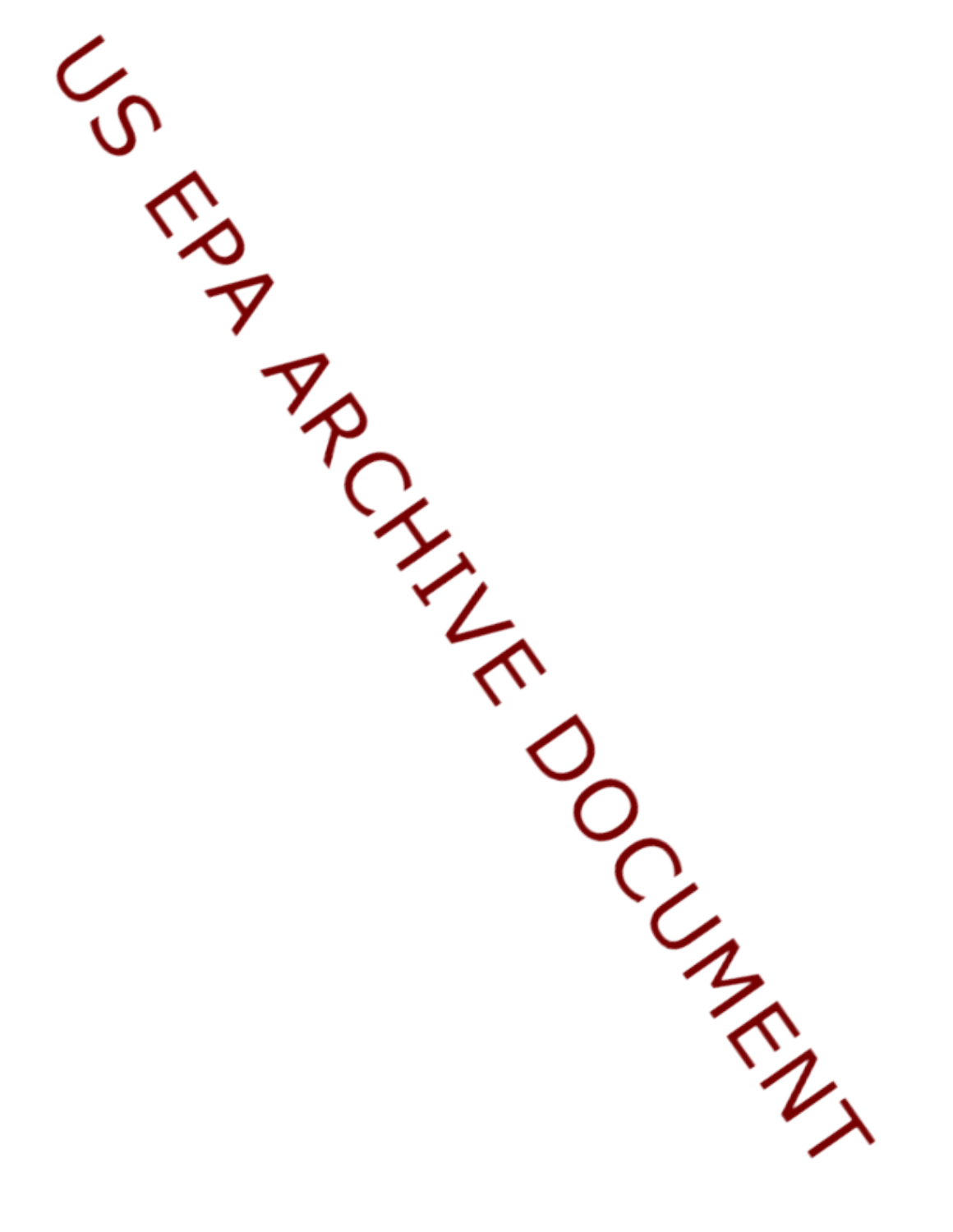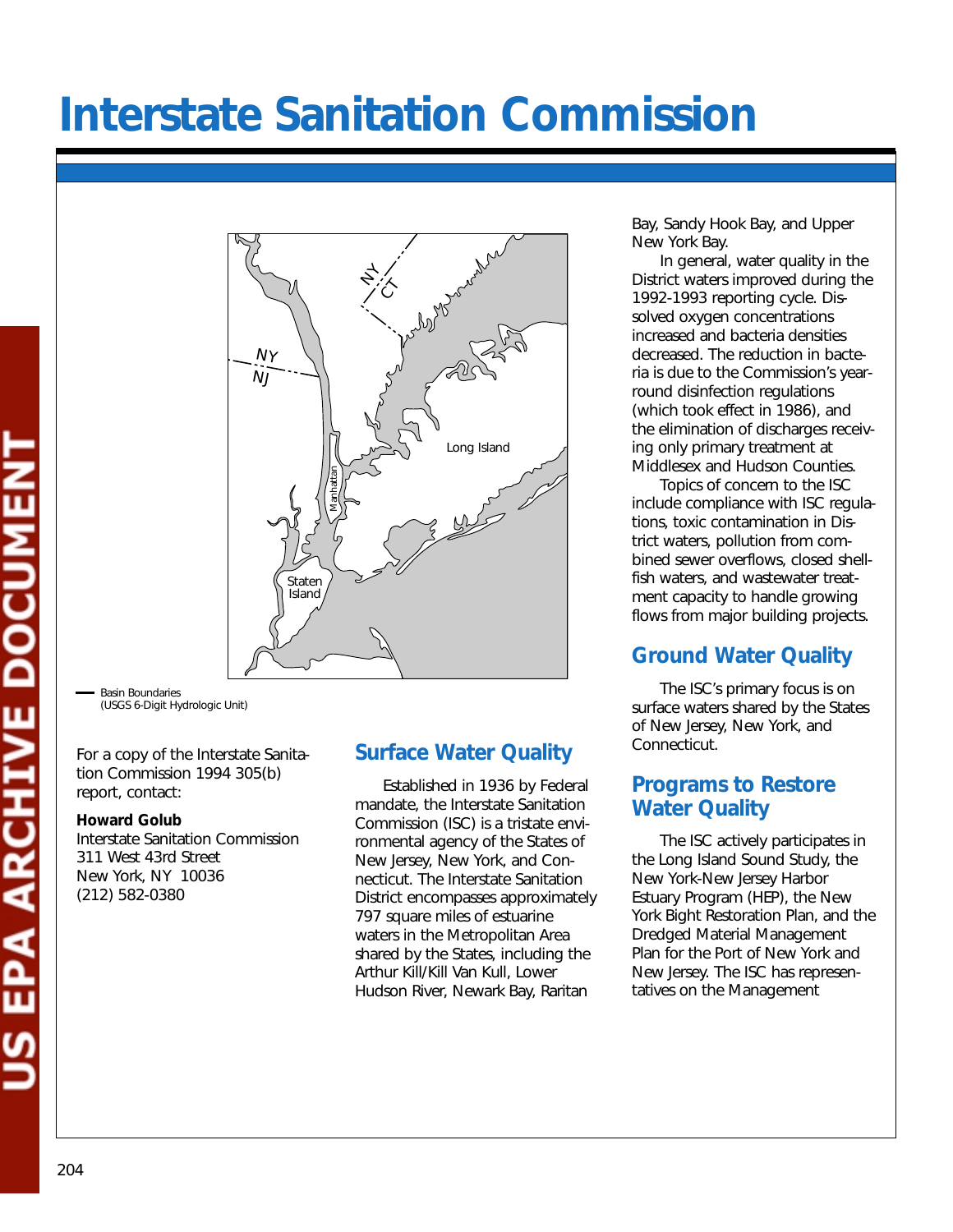# **Interstate Sanitation Commission**



Basin Boundaries (USGS 6-Digit Hydrologic Unit)

For a copy of the Interstate Sanitation Commission 1994 305(b) report, contact:

#### **Howard Golub**

Interstate Sanitation Commission 311 West 43rd Street New York, NY 10036 (212) 582-0380

# **Surface Water Quality**

Established in 1936 by Federal mandate, the Interstate Sanitation Commission (ISC) is a tristate environmental agency of the States of New Jersey, New York, and Connecticut. The Interstate Sanitation District encompasses approximately 797 square miles of estuarine waters in the Metropolitan Area shared by the States, including the Arthur Kill/Kill Van Kull, Lower Hudson River, Newark Bay, Raritan

Bay, Sandy Hook Bay, and Upper New York Bay.

In general, water quality in the District waters improved during the 1992-1993 reporting cycle. Dissolved oxygen concentrations increased and bacteria densities decreased. The reduction in bacteria is due to the Commission's yearround disinfection regulations (which took effect in 1986), and the elimination of discharges receiving only primary treatment at Middlesex and Hudson Counties.

Topics of concern to the ISC include compliance with ISC regulations, toxic contamination in District waters, pollution from combined sewer overflows, closed shellfish waters, and wastewater treatment capacity to handle growing flows from major building projects.

# **Ground Water Quality**

The ISC's primary focus is on surface waters shared by the States of New Jersey, New York, and Connecticut.

## **Programs to Restore Water Quality**

The ISC actively participates in the Long Island Sound Study, the New York-New Jersey Harbor Estuary Program (HEP), the New York Bight Restoration Plan, and the Dredged Material Management Plan for the Port of New York and New Jersey. The ISC has representatives on the Management